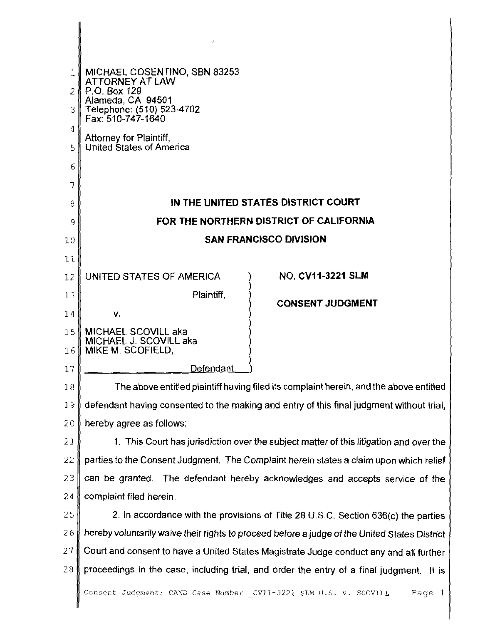|                | ÷.                                                                                            |
|----------------|-----------------------------------------------------------------------------------------------|
|                |                                                                                               |
|                | MICHAEL COSENTINO, SBN 83253                                                                  |
| $\overline{2}$ | ATTORNEY AT LAW<br>P.O. Box 129                                                               |
| 3              | Alameda, CA 94501<br>Telephone: (510) 523-4702<br>Fax: 510-747-1640                           |
| 4              |                                                                                               |
| 5              | Attorney for Plaintiff,<br>United States of America                                           |
| 6              |                                                                                               |
| 7              |                                                                                               |
| 8              | IN THE UNITED STATES DISTRICT COURT                                                           |
| 9              | FOR THE NORTHERN DISTRICT OF CALIFORNIA                                                       |
| 10             | <b>SAN FRANCISCO DIVISION</b>                                                                 |
| 11             |                                                                                               |
| 12             | <b>NO. CV11-3221 SLM</b><br>UNITED STATES OF AMERICA                                          |
| 13             | Plaintiff,<br><b>CONSENT JUDGMENT</b>                                                         |
| 14             | V.                                                                                            |
| 15             | MICHAEL SCOVILL aka<br>MICHAEL J. SCOVILL aka                                                 |
| 16             | MIKE M. SCOFIELD,                                                                             |
| 17             | Defendant.                                                                                    |
| 18             | The above entitled plaintiff having filed its complaint herein, and the above entitled        |
| 19             | defendant having consented to the making and entry of this final judgment without trial,      |
| 20             | hereby agree as follows:                                                                      |
| 21             | 1. This Court has jurisdiction over the subject matter of this litigation and over the        |
| 22             | parties to the Consent Judgment. The Complaint herein states a claim upon which relief        |
| 23             | can be granted. The defendant hereby acknowledges and accepts service of the                  |
| 24             | complaint filed herein.                                                                       |
| 25             | 2. In accordance with the provisions of Title 28 U.S.C. Section 636(c) the parties            |
| 26             | hereby voluntarily waive their rights to proceed before a judge of the United States District |
| 27             | Court and consent to have a United States Magistrate Judge conduct any and all further        |
| 28             | proceedings in the case, including trial, and order the entry of a final judgment. It is      |
|                | Consent Judgment; CAND Case Number CV11-3221 SLM U.S. v. SCOVILL<br>Page 1                    |

[Dockets.Justia.com](http://dockets.justia.com/)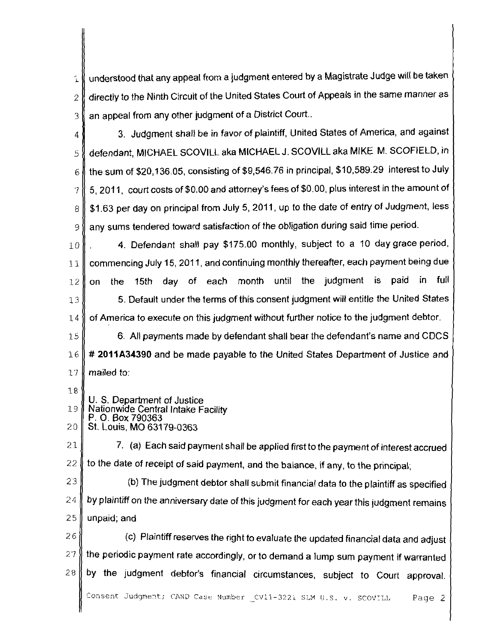understood that any appeal from a judgment entered by a Magistrate Judge will be taker Í. directly to the Ninth Circuit of the United States Court of Appeals in the same manner a5  $\overline{\phantom{a}}$ an appeal from any other judgment of a District Court.. 3

3. Judgment shall be in favor of plaintiff, United States of America, and agains 4 defendant, MICHAEL SCOVlLL aka MICHAEL J. SCOVlLL aka MIKE M. SCOFIELD, ir 5 the sum of \$20,136.05, consisting of \$9,546.76 in principal, \$10,589.29 interest to Jul) 6 5, 201 **1,** court costs of \$0.00 and attorney's fees of \$0.00, plus interest in the amount o 7 \$1.63 per day on principal from July 5, 2011, up to the date of entry of Judgment, less 8 any sums tendered toward satisfaction of the obligation during said time period. 9

**4.** Defendant shall pay \$175.00 monthly, subject to a 10 day grace period  $10$ commencing July 15, 2011, and continuing monthly thereafter, each payment being due  $11$ on the 15th day of each month until the judgment is paid in ful  $12$ 5. Default under the terms of this consent judgment will entitle the United State:  $13$ of America to execute on this judgment without further notice to the judgment debtor. 14

6. All payments made by defendant shall bear the defendant's name and CDCS 15 # **2011A34390** and be made payable to the United States Department of Justice anc  $16$ mailed to:  $77$ 

- 18 U. S. Department of Justice 19 Nationwide Central Intake Facility P. 0. Box 790363
- 20 St. Louis. MO 63179-0363

 $21$ 7. (a) Each said payment shall be applied first to the payment of interest accrued 22 to the date of receipt of said payment, and the balance, if any, to the principal;

- 23 (b) The judgment debtor shall submit financial data to the plaintiff as specified by plaintiff on the anniversary date of this judgment for each year this judgment remains 24
- 25 unpaid; and

26 (c) Plaintiff reserves the right to evaluate the updated financial data and adjust the periodic payment rate accordingly, or to demand a lump sum payment if warranted 27 by the judgment debtor's financial circumstances, subject to Court approval. 28